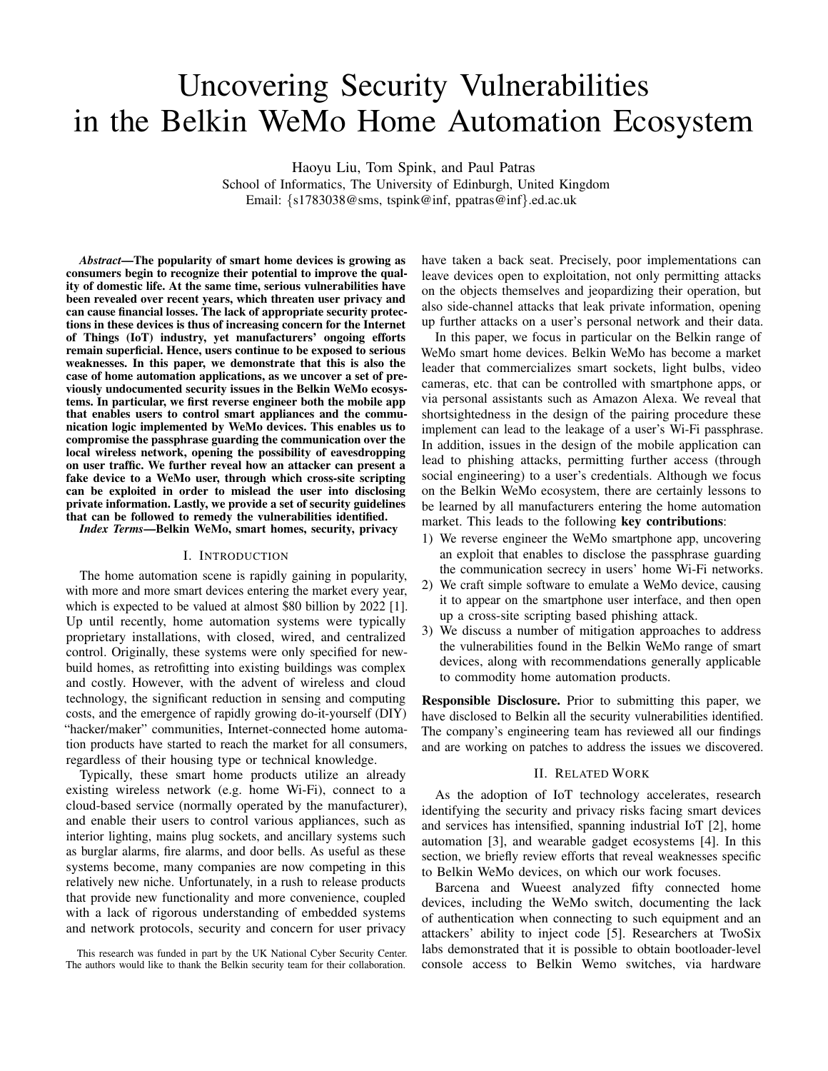# Uncovering Security Vulnerabilities in the Belkin WeMo Home Automation Ecosystem

Haoyu Liu, Tom Spink, and Paul Patras

School of Informatics, The University of Edinburgh, United Kingdom Email: {s1783038@sms, tspink@inf, ppatras@inf}.ed.ac.uk

*Abstract*—The popularity of smart home devices is growing as consumers begin to recognize their potential to improve the quality of domestic life. At the same time, serious vulnerabilities have been revealed over recent years, which threaten user privacy and can cause financial losses. The lack of appropriate security protections in these devices is thus of increasing concern for the Internet of Things (IoT) industry, yet manufacturers' ongoing efforts remain superficial. Hence, users continue to be exposed to serious weaknesses. In this paper, we demonstrate that this is also the case of home automation applications, as we uncover a set of previously undocumented security issues in the Belkin WeMo ecosystems. In particular, we first reverse engineer both the mobile app that enables users to control smart appliances and the communication logic implemented by WeMo devices. This enables us to compromise the passphrase guarding the communication over the local wireless network, opening the possibility of eavesdropping on user traffic. We further reveal how an attacker can present a fake device to a WeMo user, through which cross-site scripting can be exploited in order to mislead the user into disclosing private information. Lastly, we provide a set of security guidelines that can be followed to remedy the vulnerabilities identified.

*Index Terms*—Belkin WeMo, smart homes, security, privacy

# I. INTRODUCTION

The home automation scene is rapidly gaining in popularity, with more and more smart devices entering the market every year, which is expected to be valued at almost \$80 billion by 2022 [1]. Up until recently, home automation systems were typically proprietary installations, with closed, wired, and centralized control. Originally, these systems were only specified for newbuild homes, as retrofitting into existing buildings was complex and costly. However, with the advent of wireless and cloud technology, the significant reduction in sensing and computing costs, and the emergence of rapidly growing do-it-yourself (DIY) "hacker/maker" communities, Internet-connected home automation products have started to reach the market for all consumers, regardless of their housing type or technical knowledge.

Typically, these smart home products utilize an already existing wireless network (e.g. home Wi-Fi), connect to a cloud-based service (normally operated by the manufacturer), and enable their users to control various appliances, such as interior lighting, mains plug sockets, and ancillary systems such as burglar alarms, fire alarms, and door bells. As useful as these systems become, many companies are now competing in this relatively new niche. Unfortunately, in a rush to release products that provide new functionality and more convenience, coupled with a lack of rigorous understanding of embedded systems and network protocols, security and concern for user privacy

This research was funded in part by the UK National Cyber Security Center. The authors would like to thank the Belkin security team for their collaboration.

have taken a back seat. Precisely, poor implementations can leave devices open to exploitation, not only permitting attacks on the objects themselves and jeopardizing their operation, but also side-channel attacks that leak private information, opening up further attacks on a user's personal network and their data.

In this paper, we focus in particular on the Belkin range of WeMo smart home devices. Belkin WeMo has become a market leader that commercializes smart sockets, light bulbs, video cameras, etc. that can be controlled with smartphone apps, or via personal assistants such as Amazon Alexa. We reveal that shortsightedness in the design of the pairing procedure these implement can lead to the leakage of a user's Wi-Fi passphrase. In addition, issues in the design of the mobile application can lead to phishing attacks, permitting further access (through social engineering) to a user's credentials. Although we focus on the Belkin WeMo ecosystem, there are certainly lessons to be learned by all manufacturers entering the home automation market. This leads to the following key contributions:

- 1) We reverse engineer the WeMo smartphone app, uncovering an exploit that enables to disclose the passphrase guarding the communication secrecy in users' home Wi-Fi networks.
- 2) We craft simple software to emulate a WeMo device, causing it to appear on the smartphone user interface, and then open up a cross-site scripting based phishing attack.
- 3) We discuss a number of mitigation approaches to address the vulnerabilities found in the Belkin WeMo range of smart devices, along with recommendations generally applicable to commodity home automation products.

Responsible Disclosure. Prior to submitting this paper, we have disclosed to Belkin all the security vulnerabilities identified. The company's engineering team has reviewed all our findings and are working on patches to address the issues we discovered.

# II. RELATED WORK

As the adoption of IoT technology accelerates, research identifying the security and privacy risks facing smart devices and services has intensified, spanning industrial IoT [2], home automation [3], and wearable gadget ecosystems [4]. In this section, we briefly review efforts that reveal weaknesses specific to Belkin WeMo devices, on which our work focuses.

Barcena and Wueest analyzed fifty connected home devices, including the WeMo switch, documenting the lack of authentication when connecting to such equipment and an attackers' ability to inject code [5]. Researchers at TwoSix labs demonstrated that it is possible to obtain bootloader-level console access to Belkin Wemo switches, via hardware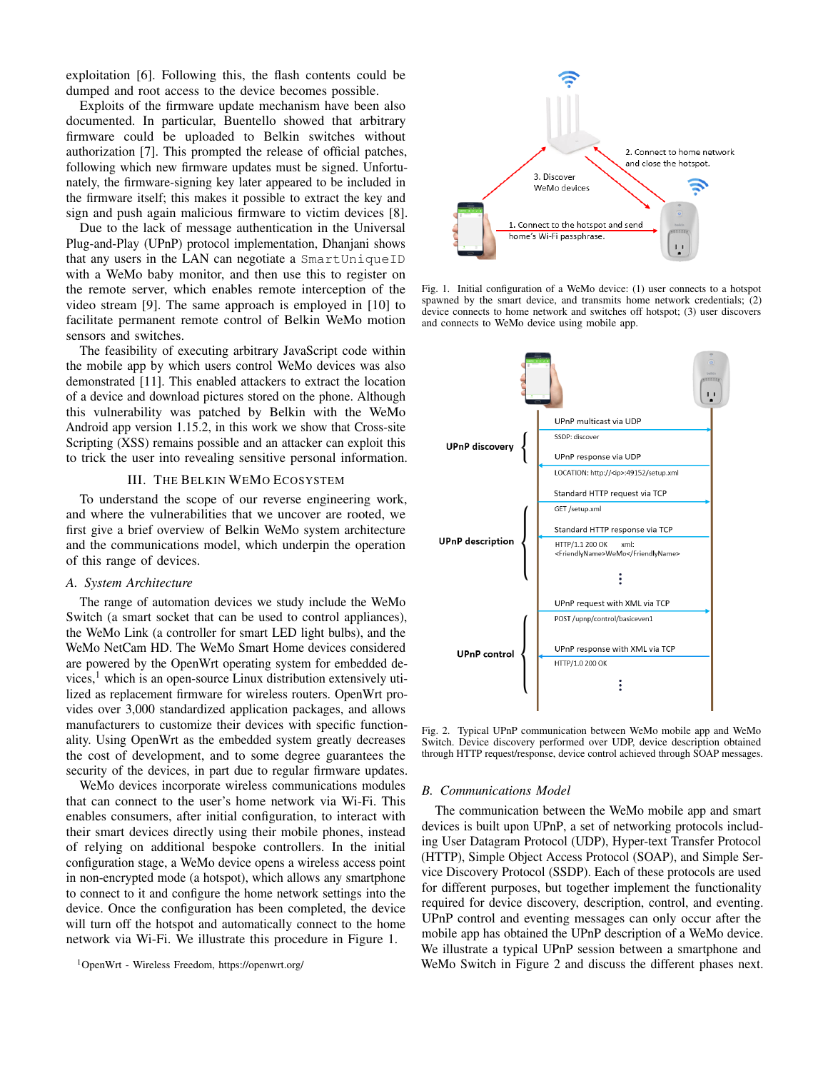exploitation [6]. Following this, the flash contents could be dumped and root access to the device becomes possible.

Exploits of the firmware update mechanism have been also documented. In particular, Buentello showed that arbitrary firmware could be uploaded to Belkin switches without authorization [7]. This prompted the release of official patches, following which new firmware updates must be signed. Unfortunately, the firmware-signing key later appeared to be included in the firmware itself; this makes it possible to extract the key and sign and push again malicious firmware to victim devices [8].

Due to the lack of message authentication in the Universal Plug-and-Play (UPnP) protocol implementation, Dhanjani shows that any users in the LAN can negotiate a SmartUniqueID with a WeMo baby monitor, and then use this to register on the remote server, which enables remote interception of the video stream [9]. The same approach is employed in [10] to facilitate permanent remote control of Belkin WeMo motion sensors and switches.

The feasibility of executing arbitrary JavaScript code within the mobile app by which users control WeMo devices was also demonstrated [11]. This enabled attackers to extract the location of a device and download pictures stored on the phone. Although this vulnerability was patched by Belkin with the WeMo Android app version 1.15.2, in this work we show that Cross-site Scripting (XSS) remains possible and an attacker can exploit this to trick the user into revealing sensitive personal information.

# III. THE BELKIN WEMO ECOSYSTEM

To understand the scope of our reverse engineering work, and where the vulnerabilities that we uncover are rooted, we first give a brief overview of Belkin WeMo system architecture and the communications model, which underpin the operation of this range of devices.

#### *A. System Architecture*

The range of automation devices we study include the WeMo Switch (a smart socket that can be used to control appliances), the WeMo Link (a controller for smart LED light bulbs), and the WeMo NetCam HD. The WeMo Smart Home devices considered are powered by the OpenWrt operating system for embedded de $vices<sup>1</sup>$ , which is an open-source Linux distribution extensively utilized as replacement firmware for wireless routers. OpenWrt provides over 3,000 standardized application packages, and allows manufacturers to customize their devices with specific functionality. Using OpenWrt as the embedded system greatly decreases the cost of development, and to some degree guarantees the security of the devices, in part due to regular firmware updates.

WeMo devices incorporate wireless communications modules that can connect to the user's home network via Wi-Fi. This enables consumers, after initial configuration, to interact with their smart devices directly using their mobile phones, instead of relying on additional bespoke controllers. In the initial configuration stage, a WeMo device opens a wireless access point in non-encrypted mode (a hotspot), which allows any smartphone to connect to it and configure the home network settings into the device. Once the configuration has been completed, the device will turn off the hotspot and automatically connect to the home network via Wi-Fi. We illustrate this procedure in Figure 1.

<sup>1</sup>OpenWrt - Wireless Freedom, https://openwrt.org/



Fig. 1. Initial configuration of a WeMo device: (1) user connects to a hotspot spawned by the smart device, and transmits home network credentials; (2) device connects to home network and switches off hotspot; (3) user discovers and connects to WeMo device using mobile app.



Fig. 2. Typical UPnP communication between WeMo mobile app and WeMo Switch. Device discovery performed over UDP, device description obtained through HTTP request/response, device control achieved through SOAP messages.

#### *B. Communications Model*

The communication between the WeMo mobile app and smart devices is built upon UPnP, a set of networking protocols including User Datagram Protocol (UDP), Hyper-text Transfer Protocol (HTTP), Simple Object Access Protocol (SOAP), and Simple Service Discovery Protocol (SSDP). Each of these protocols are used for different purposes, but together implement the functionality required for device discovery, description, control, and eventing. UPnP control and eventing messages can only occur after the mobile app has obtained the UPnP description of a WeMo device. We illustrate a typical UPnP session between a smartphone and WeMo Switch in Figure 2 and discuss the different phases next.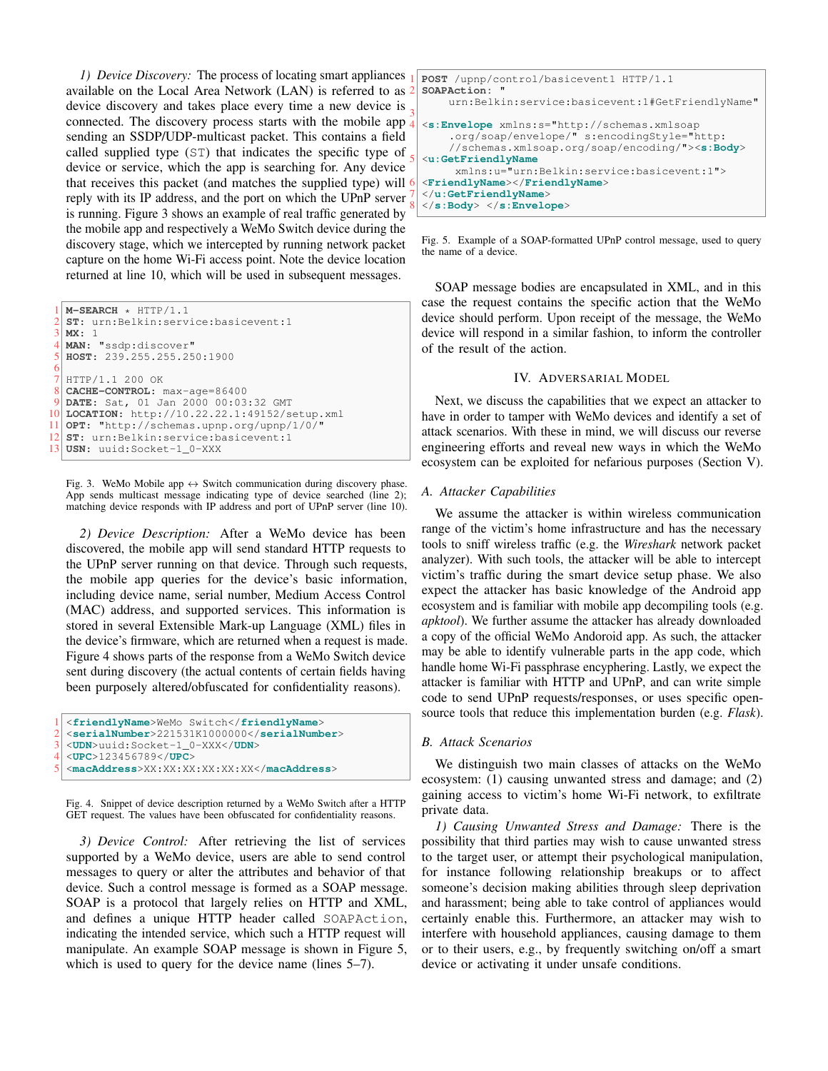*1) Device Discovery:* The process of locating smart appliances available on the Local Area Network (LAN) is referred to as device discovery and takes place every time a new device is connected. The discovery process starts with the mobile app  $\frac{3}{4}$ sending an SSDP/UDP-multicast packet. This contains a field called supplied type (ST) that indicates the specific type of device or service, which the app is searching for. Any device that receives this packet (and matches the supplied type) will reply with its IP address, and the port on which the UPnP server is running. Figure 3 shows an example of real traffic generated by the mobile app and respectively a WeMo Switch device during the discovery stage, which we intercepted by running network packet capture on the home Wi-Fi access point. Note the device location returned at line 10, which will be used in subsequent messages.

```
1 M-SEARCH * HTTP/1.1
2 ST: urn:Belkin:service:basicevent:1
  3 MX: 1
4 MAN: "ssdp:discover"
  5 HOST: 239.255.255.250:1900
6
  HTTP/1.1 200 OK
  8 CACHE-CONTROL: max-age=86400
9 DATE: Sat, 01 Jan 2000 00:03:32 GMT<br>10 LOCATION: http://10.22.22.1:49152/s
  10 LOCATION: http://10.22.22.1:49152/setup.xml
11 OPT: "http://schemas.upnp.org/upnp/1/0/"
12 ST: urn:Belkin:service:basicevent:1
13 USN: uuid:Socket-1_0-XXX
```
Fig. 3. WeMo Mobile app  $\leftrightarrow$  Switch communication during discovery phase. App sends multicast message indicating type of device searched (line 2); matching device responds with IP address and port of UPnP server (line 10).

*2) Device Description:* After a WeMo device has been discovered, the mobile app will send standard HTTP requests to the UPnP server running on that device. Through such requests, the mobile app queries for the device's basic information, including device name, serial number, Medium Access Control (MAC) address, and supported services. This information is stored in several Extensible Mark-up Language (XML) files in the device's firmware, which are returned when a request is made. Figure 4 shows parts of the response from a WeMo Switch device sent during discovery (the actual contents of certain fields having been purposely altered/obfuscated for confidentiality reasons).

```
1 <friendlyName>WeMo Switch</friendlyName>
  2 <serialNumber>221531K1000000</serialNumber>
  3 <UDN>uuid:Socket-1_0-XXX</UDN>
4 <UPC>123456789</UPC>
  5 <macAddress>XX:XX:XX:XX:XX:XX</macAddress>
```

```
Fig. 4. Snippet of device description returned by a WeMo Switch after a HTTP
GET request. The values have been obfuscated for confidentiality reasons.
```
*3) Device Control:* After retrieving the list of services supported by a WeMo device, users are able to send control messages to query or alter the attributes and behavior of that device. Such a control message is formed as a SOAP message. SOAP is a protocol that largely relies on HTTP and XML, and defines a unique HTTP header called SOAPAction, indicating the intended service, which such a HTTP request will manipulate. An example SOAP message is shown in Figure 5, which is used to query for the device name (lines 5–7).

```
1 POST /upnp/control/basicevent1 HTTP/1.1
SOAPAction:urn:Belkin:service:basicevent:1#GetFriendlyName"
4 <s:Envelope xmlns:s="http://schemas.xmlsoap
    .org/soap/envelope/" s:encodingStyle="http:
    //schemas.xmlsoap.org/soap/encoding/"><s:Body>
5 <u:GetFriendlyName
     xmlns:u="urn:Belkin:service:basicevent:1">
6 <FriendlyName></FriendlyName>
7 </u:GetFriendlyName>
8 </s:Body> </s:Envelope>
```
Fig. 5. Example of a SOAP-formatted UPnP control message, used to query the name of a device.

SOAP message bodies are encapsulated in XML, and in this case the request contains the specific action that the WeMo device should perform. Upon receipt of the message, the WeMo device will respond in a similar fashion, to inform the controller of the result of the action.

# IV. ADVERSARIAL MODEL

Next, we discuss the capabilities that we expect an attacker to have in order to tamper with WeMo devices and identify a set of attack scenarios. With these in mind, we will discuss our reverse engineering efforts and reveal new ways in which the WeMo ecosystem can be exploited for nefarious purposes (Section V).

# *A. Attacker Capabilities*

We assume the attacker is within wireless communication range of the victim's home infrastructure and has the necessary tools to sniff wireless traffic (e.g. the *Wireshark* network packet analyzer). With such tools, the attacker will be able to intercept victim's traffic during the smart device setup phase. We also expect the attacker has basic knowledge of the Android app ecosystem and is familiar with mobile app decompiling tools (e.g. *apktool*). We further assume the attacker has already downloaded a copy of the official WeMo Andoroid app. As such, the attacker may be able to identify vulnerable parts in the app code, which handle home Wi-Fi passphrase encyphering. Lastly, we expect the attacker is familiar with HTTP and UPnP, and can write simple code to send UPnP requests/responses, or uses specific opensource tools that reduce this implementation burden (e.g. *Flask*).

# *B. Attack Scenarios*

We distinguish two main classes of attacks on the WeMo ecosystem: (1) causing unwanted stress and damage; and (2) gaining access to victim's home Wi-Fi network, to exfiltrate private data.

*1) Causing Unwanted Stress and Damage:* There is the possibility that third parties may wish to cause unwanted stress to the target user, or attempt their psychological manipulation, for instance following relationship breakups or to affect someone's decision making abilities through sleep deprivation and harassment; being able to take control of appliances would certainly enable this. Furthermore, an attacker may wish to interfere with household appliances, causing damage to them or to their users, e.g., by frequently switching on/off a smart device or activating it under unsafe conditions.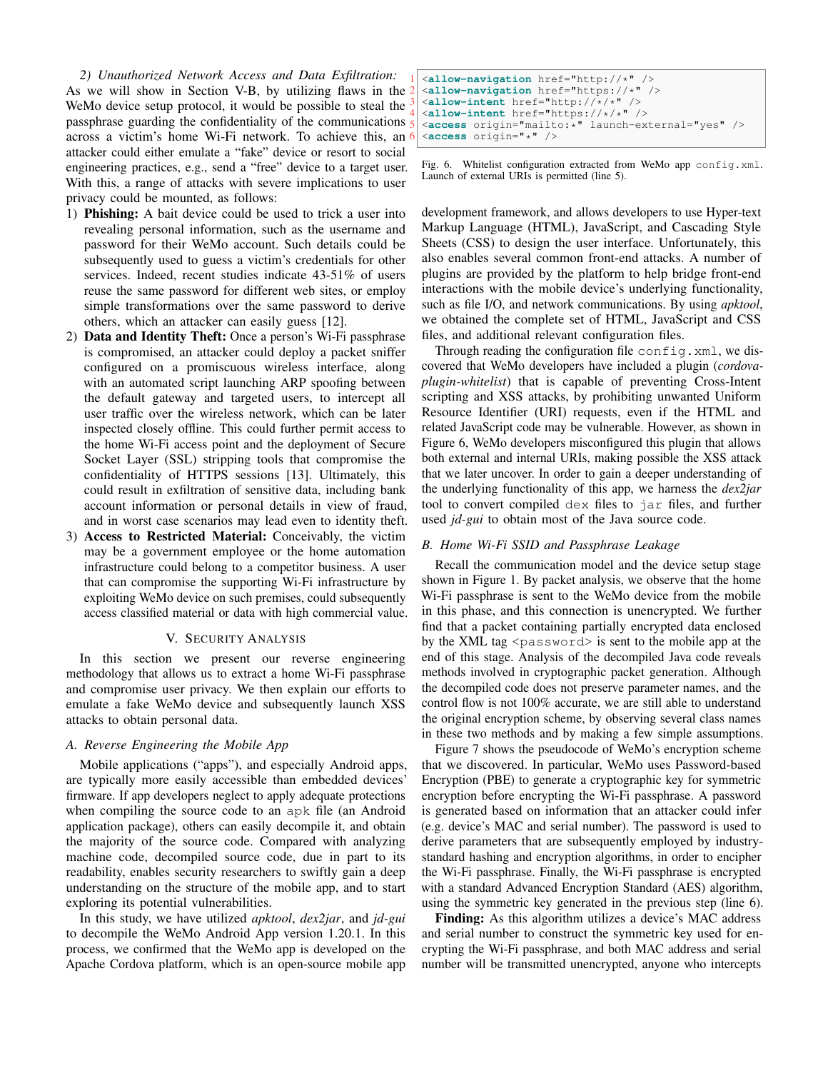*2) Unauthorized Network Access and Data Exfiltration:* As we will show in Section V-B, by utilizing flaws in the WeMo device setup protocol, it would be possible to steal the passphrase guarding the confidentiality of the communications across a victim's home Wi-Fi network. To achieve this, an attacker could either emulate a "fake" device or resort to social engineering practices, e.g., send a "free" device to a target user. With this, a range of attacks with severe implications to user privacy could be mounted, as follows:

- 1) Phishing: A bait device could be used to trick a user into revealing personal information, such as the username and password for their WeMo account. Such details could be subsequently used to guess a victim's credentials for other services. Indeed, recent studies indicate 43-51% of users reuse the same password for different web sites, or employ simple transformations over the same password to derive others, which an attacker can easily guess [12].
- 2) Data and Identity Theft: Once a person's Wi-Fi passphrase is compromised, an attacker could deploy a packet sniffer configured on a promiscuous wireless interface, along with an automated script launching ARP spoofing between the default gateway and targeted users, to intercept all user traffic over the wireless network, which can be later inspected closely offline. This could further permit access to the home Wi-Fi access point and the deployment of Secure Socket Layer (SSL) stripping tools that compromise the confidentiality of HTTPS sessions [13]. Ultimately, this could result in exfiltration of sensitive data, including bank account information or personal details in view of fraud, and in worst case scenarios may lead even to identity theft.
- 3) Access to Restricted Material: Conceivably, the victim may be a government employee or the home automation infrastructure could belong to a competitor business. A user that can compromise the supporting Wi-Fi infrastructure by exploiting WeMo device on such premises, could subsequently access classified material or data with high commercial value.

# V. SECURITY ANALYSIS

In this section we present our reverse engineering methodology that allows us to extract a home Wi-Fi passphrase and compromise user privacy. We then explain our efforts to emulate a fake WeMo device and subsequently launch XSS attacks to obtain personal data.

# *A. Reverse Engineering the Mobile App*

Mobile applications ("apps"), and especially Android apps, are typically more easily accessible than embedded devices' firmware. If app developers neglect to apply adequate protections when compiling the source code to an apk file (an Android application package), others can easily decompile it, and obtain the majority of the source code. Compared with analyzing machine code, decompiled source code, due in part to its readability, enables security researchers to swiftly gain a deep understanding on the structure of the mobile app, and to start exploring its potential vulnerabilities.

In this study, we have utilized *apktool*, *dex2jar*, and *jd-gui* to decompile the WeMo Android App version 1.20.1. In this process, we confirmed that the WeMo app is developed on the Apache Cordova platform, which is an open-source mobile app

```
1 <allow-navigation href="http://*" />
2 <allow-navigation href="https://*" />
3 <allow-intent href="http://*/*" />
4 <allow-intent href="https://*/*" />
5 <access origin="mailto:*" launch-external="yes" />
6 <access origin="*" />
```
Fig. 6. Whitelist configuration extracted from WeMo app config.xml. Launch of external URIs is permitted (line 5).

development framework, and allows developers to use Hyper-text Markup Language (HTML), JavaScript, and Cascading Style Sheets (CSS) to design the user interface. Unfortunately, this also enables several common front-end attacks. A number of plugins are provided by the platform to help bridge front-end interactions with the mobile device's underlying functionality, such as file I/O, and network communications. By using *apktool*, we obtained the complete set of HTML, JavaScript and CSS files, and additional relevant configuration files.

Through reading the configuration file config.xml, we discovered that WeMo developers have included a plugin (*cordovaplugin-whitelist*) that is capable of preventing Cross-Intent scripting and XSS attacks, by prohibiting unwanted Uniform Resource Identifier (URI) requests, even if the HTML and related JavaScript code may be vulnerable. However, as shown in Figure 6, WeMo developers misconfigured this plugin that allows both external and internal URIs, making possible the XSS attack that we later uncover. In order to gain a deeper understanding of the underlying functionality of this app, we harness the *dex2jar* tool to convert compiled dex files to jar files, and further used *jd-gui* to obtain most of the Java source code.

# *B. Home Wi-Fi SSID and Passphrase Leakage*

Recall the communication model and the device setup stage shown in Figure 1. By packet analysis, we observe that the home Wi-Fi passphrase is sent to the WeMo device from the mobile in this phase, and this connection is unencrypted. We further find that a packet containing partially encrypted data enclosed by the XML tag  $\langle$  password $\rangle$  is sent to the mobile app at the end of this stage. Analysis of the decompiled Java code reveals methods involved in cryptographic packet generation. Although the decompiled code does not preserve parameter names, and the control flow is not 100% accurate, we are still able to understand the original encryption scheme, by observing several class names in these two methods and by making a few simple assumptions.

Figure 7 shows the pseudocode of WeMo's encryption scheme that we discovered. In particular, WeMo uses Password-based Encryption (PBE) to generate a cryptographic key for symmetric encryption before encrypting the Wi-Fi passphrase. A password is generated based on information that an attacker could infer (e.g. device's MAC and serial number). The password is used to derive parameters that are subsequently employed by industrystandard hashing and encryption algorithms, in order to encipher the Wi-Fi passphrase. Finally, the Wi-Fi passphrase is encrypted with a standard Advanced Encryption Standard (AES) algorithm, using the symmetric key generated in the previous step (line 6).

Finding: As this algorithm utilizes a device's MAC address and serial number to construct the symmetric key used for encrypting the Wi-Fi passphrase, and both MAC address and serial number will be transmitted unencrypted, anyone who intercepts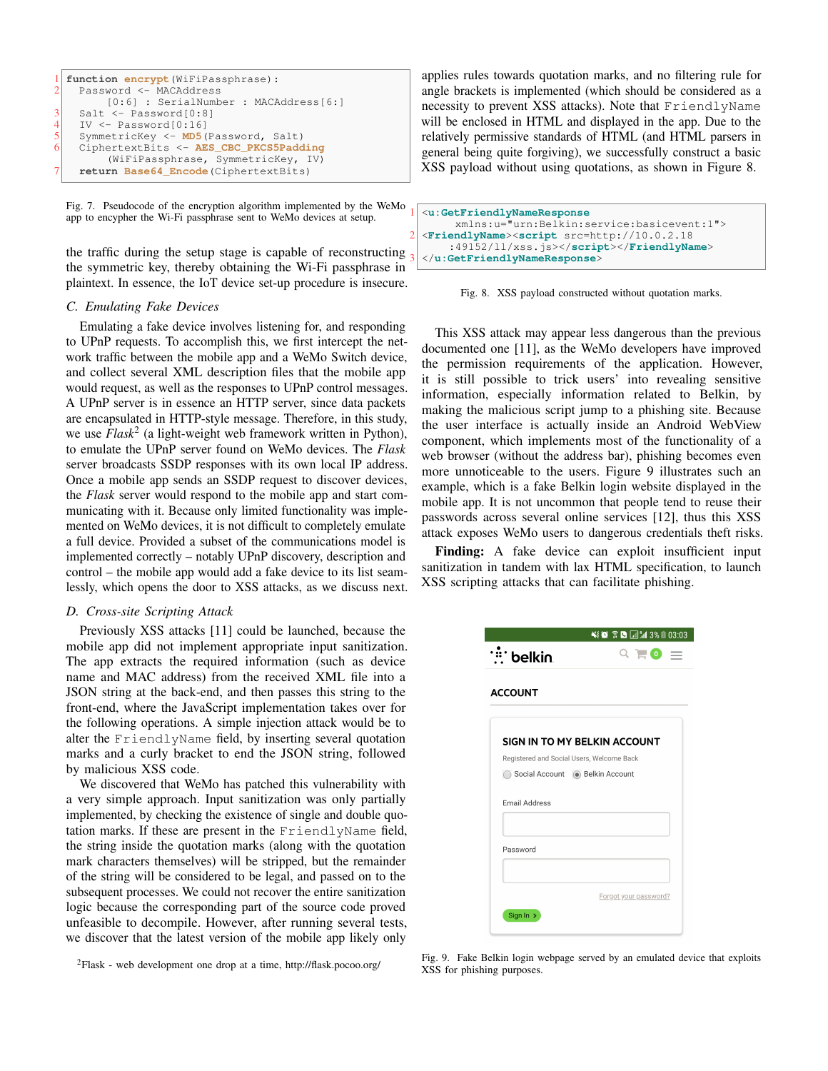```
function encrypt (WiFiPassphrase):
2 Password <- MACAddress
           [0:6] : SerialNumber : MACAddress[6:]
\begin{array}{c|c}\n3 & \text{salt} <= \text{Password}[0:8] \\
4 & \text{IV} <= \text{Password}[0:16]\n\end{array}4 IV <- Password[0:16]
5 SymmetricKey <- MD5(Password, Salt)
6 CiphertextBits <- AES_CBC_PKCS5Padding
           (WiFiPassphrase, SymmetricKey, IV)
     7 return Base64_Encode(CiphertextBits)
```
Fig. 7. Pseudocode of the encryption algorithm implemented by the WeMo app to encypher the Wi-Fi passphrase sent to WeMo devices at setup.

the traffic during the setup stage is capable of reconstructing the symmetric key, thereby obtaining the Wi-Fi passphrase in plaintext. In essence, the IoT device set-up procedure is insecure.

# *C. Emulating Fake Devices*

Emulating a fake device involves listening for, and responding to UPnP requests. To accomplish this, we first intercept the network traffic between the mobile app and a WeMo Switch device, and collect several XML description files that the mobile app would request, as well as the responses to UPnP control messages. A UPnP server is in essence an HTTP server, since data packets are encapsulated in HTTP-style message. Therefore, in this study, we use *Flask*<sup>2</sup> (a light-weight web framework written in Python), to emulate the UPnP server found on WeMo devices. The *Flask* server broadcasts SSDP responses with its own local IP address. Once a mobile app sends an SSDP request to discover devices, the *Flask* server would respond to the mobile app and start communicating with it. Because only limited functionality was implemented on WeMo devices, it is not difficult to completely emulate a full device. Provided a subset of the communications model is implemented correctly – notably UPnP discovery, description and control – the mobile app would add a fake device to its list seamlessly, which opens the door to XSS attacks, as we discuss next.

# *D. Cross-site Scripting Attack*

Previously XSS attacks [11] could be launched, because the mobile app did not implement appropriate input sanitization. The app extracts the required information (such as device name and MAC address) from the received XML file into a JSON string at the back-end, and then passes this string to the front-end, where the JavaScript implementation takes over for the following operations. A simple injection attack would be to alter the FriendlyName field, by inserting several quotation marks and a curly bracket to end the JSON string, followed by malicious XSS code.

We discovered that WeMo has patched this vulnerability with a very simple approach. Input sanitization was only partially implemented, by checking the existence of single and double quotation marks. If these are present in the FriendlyName field, the string inside the quotation marks (along with the quotation mark characters themselves) will be stripped, but the remainder of the string will be considered to be legal, and passed on to the subsequent processes. We could not recover the entire sanitization logic because the corresponding part of the source code proved unfeasible to decompile. However, after running several tests, we discover that the latest version of the mobile app likely only

```
{}^{2}Flask - web development one drop at a time, http://flask.pocoo.org/
```
applies rules towards quotation marks, and no filtering rule for angle brackets is implemented (which should be considered as a necessity to prevent XSS attacks). Note that  $FriendlyName$ will be enclosed in HTML and displayed in the app. Due to the relatively permissive standards of HTML (and HTML parsers in general being quite forgiving), we successfully construct a basic XSS payload without using quotations, as shown in Figure 8.

```
1 <u:GetFriendlyNameResponse
     xmlns:u="urn:Belkin:service:basicevent:1">
2 <FriendlyName><script src=http://10.0.2.18
    :49152/ll/xss.js></script></FriendlyName>
3 </u:GetFriendlyNameResponse>
```
Fig. 8. XSS payload constructed without quotation marks.

This XSS attack may appear less dangerous than the previous documented one [11], as the WeMo developers have improved the permission requirements of the application. However, it is still possible to trick users' into revealing sensitive information, especially information related to Belkin, by making the malicious script jump to a phishing site. Because the user interface is actually inside an Android WebView component, which implements most of the functionality of a web browser (without the address bar), phishing becomes even more unnoticeable to the users. Figure 9 illustrates such an example, which is a fake Belkin login website displayed in the mobile app. It is not uncommon that people tend to reuse their passwords across several online services [12], thus this XSS attack exposes WeMo users to dangerous credentials theft risks.

Finding: A fake device can exploit insufficient input sanitization in tandem with lax HTML specification, to launch XSS scripting attacks that can facilitate phishing.

|                               | ₩◎ ନ ◘ ⊡ 143% ■ 03:03                     |
|-------------------------------|-------------------------------------------|
| " belkin                      | $Q = 0 =$                                 |
| <b>ACCOUNT</b>                |                                           |
|                               | SIGN IN TO MY BELKIN ACCOUNT              |
|                               | Registered and Social Users, Welcome Back |
|                               | ◯ Social Account . Belkin Account         |
| <b>Email Address</b>          |                                           |
| Password                      |                                           |
|                               | Forgot your password?                     |
| Sign In $\blacktriangleright$ |                                           |

Fig. 9. Fake Belkin login webpage served by an emulated device that exploits XSS for phishing purposes.